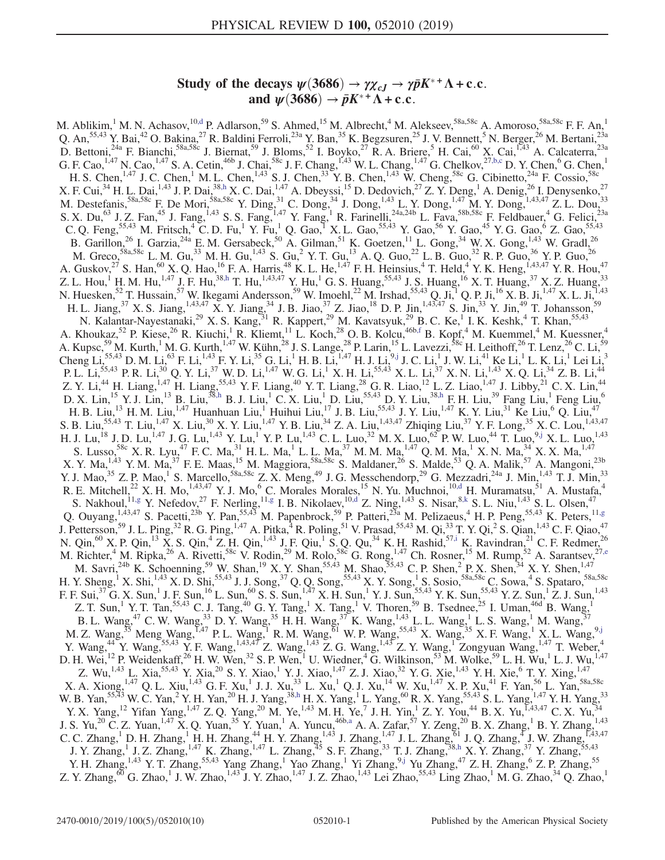# Study of the decays  $\psi$ (3686)  $\rightarrow \gamma \chi_{cJ} \rightarrow \gamma \bar{p} K^{*+} \Lambda + c.c.$ and  $\psi(3686) \rightarrow \bar{p}K^{*+}\Lambda + \text{c.c.}$

<span id="page-0-8"></span><span id="page-0-7"></span><span id="page-0-6"></span><span id="page-0-5"></span><span id="page-0-4"></span><span id="page-0-3"></span><span id="page-0-2"></span><span id="page-0-1"></span><span id="page-0-0"></span>M. Ablikim,<sup>1</sup> M. N. Achasov,<sup>10[,d](#page-2-0)</sup> P. Adlarson,<sup>59</sup> S. Ahmed,<sup>15</sup> M. Albrecht,<sup>4</sup> M. Alekseev,<sup>58a,58c</sup> A. Amoroso,<sup>58a,58c</sup> F. F. An,<sup>1</sup> Q. An,<sup>55,43</sup> Y. Bai,<sup>42</sup> O. Bakina,<sup>27</sup> R. Baldini Ferroli,<sup>23a</sup> Y. Ban,<sup>35</sup> K. Begzsuren,<sup>25</sup> J. V. Bennett,<sup>5</sup> N. Berger,<sup>26</sup> M. Bertani,<sup>23a</sup> D. Bettoni,<sup>24a</sup> F. Bianchi,<sup>58a,58c</sup> J. Biernat,<sup>59</sup> J. Bloms,<sup>52</sup> I. Boyko,<sup>27</sup> R. A. Briere,<sup>5</sup> H. Cai,<sup>60</sup> X. Cai,<sup>1,43</sup> A. Calcaterra,<sup>23a</sup> G. F. Cao,<sup>1,47</sup> N. Cao,<sup>1,47</sup> S. A. Cetin,<sup>46b</sup> J. Chai,<sup>58c</sup> J. F. Chang,<sup>1,43</sup> W. L. Chang,<sup>1,47</sup> G. Chelkov,<sup>27[,b,c](#page-2-1)</sup> D. Y. Chen,<sup>6</sup> G. Chen,<sup>1</sup> H. S. Chen,<sup>1,47</sup> J. C. Chen,<sup>1</sup> M. L. Chen,<sup>1,43</sup> S. J. Chen,<sup>33</sup> Y. B. Chen,<sup>1,43</sup> W. Cheng,<sup>58c</sup> G. Cibinetto,<sup>24a</sup> F. Cossio,<sup>58c</sup> X. F. Cui,  $34$  H. L. Dai,  $1,43$  J. P. Dai,  $38, h$  X. C. Dai,  $1,47$  A. Dbeyssi,  $15$  D. Dedovich,  $27$  Z. Y. Deng,  $1$  A. Denig,  $26$  I. Denysenko,  $27$ M. Destefanis,  ${}^{58a,58c}$  F. De Mori,  ${}^{58a,58c}$  Y. Ding,  ${}^{31}$  C. Dong,  ${}^{34}$  J. Dong,  ${}^{1,43}$  L. Y. Dong,  ${}^{1,47}$  M. Y. Dong,  ${}^{1,43,47}$  Z. L. Dou,  ${}^{33}$ S. X. Du,<sup>63</sup> J. Z. Fan,<sup>45</sup> J. Fang,<sup>1,43</sup> S. S. Fang,<sup>1,47</sup> Y. Fang,<sup>1</sup> R. Farinelli,<sup>24a,24b</sup> L. Fava,<sup>58b,58c</sup> F. Feldbauer,<sup>4</sup> G. Felici,<sup>23a</sup> C. Q. Feng,<sup>55,43</sup> M. Fritsch,<sup>4</sup> C. D. Fu,<sup>1</sup> Y. Fu,<sup>1</sup> Q. Gao,<sup>1</sup> X. L. Gao,<sup>55,43</sup> Y. Gao,<sup>56</sup> Y. Gao,<sup>45</sup> Y. G. Gao,<sup>6</sup> Z. Gao,<sup>55,43</sup> B. Garillon,<sup>26</sup> I. Garzia,<sup>24a</sup> E. M. Gersabeck,<sup>50</sup> A. Gilman,<sup>51</sup> K. Goetzen,<sup>11</sup> L. Gong,<sup>34</sup> W. X. Gong,<sup>1,43</sup> W. Gradl,<sup>26</sup> M. Greco,  $58a,58c$  L. M. Gu,  $33$  M. H. Gu,  $^{1,43}$  S. Gu,  $^{2}$  Y. T. Gu,  $^{13}$  A. Q. Guo,  $^{22}$  L. B. Guo,  $32$  R. P. Guo,  $36$  Y. P. Guo,  $^{26}$ A. Guskov,  $^{27}$  S. Han,  $^{60}$  X. Q. Hao,  $^{16}$  F. A. Harris,  $^{48}$  K. L. He,  $^{1,47}$  F. H. Heinsius,  $^{4}$  T. Held,  $^{4}$  Y. K. Heng,  $^{1,43,47}$  Y. R. Hou,  $^{47}$ Z. L. Hou,<sup>1</sup> H. M. Hu,<sup>1,47</sup> J. F. Hu,<sup>38[,h](#page-2-2)</sup> T. Hu,<sup>1,43,47</sup> Y. Hu,<sup>1</sup> G. S. Huang,<sup>55,43</sup> J. S. Huang,<sup>16</sup> X. T. Huang,<sup>37</sup> X. Z. Huang,<sup>33</sup> N. Huesken,<sup>52</sup> T. Hussain,<sup>57</sup> W. Ikegami Andersson,<sup>59</sup> W. Imoehl,<sup>22</sup> M. Irshad,<sup>55,43</sup> Q. Ji,<sup>1</sup> Q. P. Ji,<sup>16</sup> X. B. Ji,<sup>1,47</sup> X. L. Ji,<sup>1,43</sup> H. L. Jiang, <sup>37</sup> X. S. Jiang, <sup>1,43,47</sup> X. Y. Jiang, <sup>34</sup> J. B. Jiao, <sup>37</sup> Z. Jiao, <sup>18</sup> D. P. Jin, <sup>1,43,47</sup> S. Jin, <sup>33</sup> Y. Jin, <sup>49</sup> T. Johansson, <sup>59</sup> N. Kalantar-Nayestanaki,<sup>29</sup> X. S. Kang,<sup>31</sup> R. Kappert,<sup>29</sup> M. Kavatsyuk,<sup>29</sup> B. C. Ke,<sup>1</sup> I. K. Keshk,<sup>4</sup> T. Khan,<sup>55,43</sup> A. Khoukaz,<sup>52</sup> P. Kiese,<sup>26</sup> R. Kiuchi,<sup>1</sup> R. Kliemt,<sup>11</sup> L. Koch,<sup>28</sup> O. B. Kolcu,<sup>46b[,f](#page-2-3)</sup> B. Kopf,<sup>4</sup> M. Kuemmel,<sup>4</sup> M. Kuessner,<sup>4</sup> A. Kupsc,<sup>59</sup> M. Kurth,<sup>1</sup> M. G. Kurth,<sup>1,47</sup> W. Kühn,<sup>28</sup> J. S. Lange,<sup>28</sup> P. Larin,<sup>15</sup> L. Lavezzi,<sup>58c</sup> H. Leithoff,<sup>26</sup> T. Lenz,<sup>26</sup> C. Li,<sup>59</sup>  $Cheng Li, <sup>55,43</sup> D. M. Li, <sup>63</sup> F. Li, <sup>1,43</sup> F. Y. Li, <sup>35</sup> G. Li, <sup>1</sup> H. B. Li, <sup>1,47</sup> H. J. Li, <sup>9,j</sup> J. C. Li, <sup>1</sup> J. W. Li, <sup>41</sup> Ke Li, <sup>1</sup> L. K. Li, <sup>1</sup> Lei Li, <sup>3</sup>$  $Cheng Li, <sup>55,43</sup> D. M. Li, <sup>63</sup> F. Li, <sup>1,43</sup> F. Y. Li, <sup>35</sup> G. Li, <sup>1</sup> H. B. Li, <sup>1,47</sup> H. J. Li, <sup>9,j</sup> J. C. Li, <sup>1</sup> J. W. Li, <sup>41</sup> Ke Li, <sup>1</sup> L. K. Li, <sup>1</sup> Lei Li, <sup>3</sup>$  $Cheng Li, <sup>55,43</sup> D. M. Li, <sup>63</sup> F. Li, <sup>1,43</sup> F. Y. Li, <sup>35</sup> G. Li, <sup>1</sup> H. B. Li, <sup>1,47</sup> H. J. Li, <sup>9,j</sup> J. C. Li, <sup>1</sup> J. W. Li, <sup>41</sup> Ke Li, <sup>1</sup> L. K. Li, <sup>1</sup> Lei Li, <sup>3</sup>$ P. L. Li,<sup>55,43</sup> P. R. Li,<sup>30</sup> Q. Y. Li,<sup>37</sup> W. D. Li,<sup>1,47</sup> W. G. Li,<sup>1</sup> X. H. Li,<sup>55,43</sup> X. L. Li,<sup>37</sup> X. N. Li,<sup>1,43</sup> X. Q. Li,<sup>34</sup> Z. B. Li,<sup>44</sup> Z. Y. Li,<sup>44</sup> H. Liang,<sup>1,47</sup> H. Liang,<sup>55,43</sup> Y. F. Liang,<sup>40</sup> Y. T. Liang,<sup>28</sup> G. R. Liao,<sup>12</sup> L. Z. Liao,<sup>1,47</sup> J. Libby,<sup>21</sup> C. X. Lin,<sup>44</sup> D. X. Lin,<sup>15</sup> Y. J. Lin,<sup>13</sup> B. Liu,<sup>38[,h](#page-2-2)</sup> B. J. Liu,<sup>1</sup> C. X. Liu,<sup>1</sup> D. Liu,<sup>55,43</sup> D. Y. Liu,<sup>3[8,h](#page-2-2)</sup> F. H. Liu,<sup>39</sup> Fang Liu,<sup>1</sup> Feng Liu,<sup>6</sup> H. B. Liu,<sup>13</sup> H. M. Liu,<sup>1,47</sup> Huanhuan Liu,<sup>1</sup> Huihui Liu,<sup>17</sup> J. B. Liu,<sup>55,43</sup> J. Y. Liu,<sup>1,47</sup> K. Y. Liu,<sup>31</sup> Ke Liu,<sup>6</sup> Q. Liu,<sup>47</sup> S. B. Liu,<sup>55,43</sup> T. Liu,<sup>1,47</sup> X. Liu,<sup>30</sup> X. Y. Liu,<sup>1,47</sup> Y. B. Liu,<sup>34</sup> Z. A. Liu,<sup>1,43,47</sup> Zhiqing Liu,<sup>37</sup> Y. F. Long,<sup>35</sup> X. C. Lou,<sup>1,43,47</sup> H. J. Lu,<sup>18</sup> J. D. Lu,<sup>1,47</sup> J. G. Lu,<sup>1,43</sup> Y. Lu,<sup>1</sup> Y. P. Lu,<sup>1,43</sup> C. L. Luo,<sup>32</sup> M. X. Luo,<sup>62</sup> P. W. Luo,<sup>44</sup> T. Luo,<sup>[9,j](#page-2-4)</sup> X. L. Luo,<sup>1,43</sup> S. Lusso,<sup>58c</sup> X. R. Lyu,<sup>47</sup> F. C. Ma,<sup>31</sup> H. L. Ma,<sup>1</sup> L. L. Ma,<sup>37</sup> M. M. Ma,<sup>1,47</sup> Q. M. Ma,<sup>1</sup> X. N. Ma,<sup>34</sup> X. X. Ma,<sup>1,47</sup> X. Y. Ma,  $^{1,43}$  Y. M. Ma,  $^{37}$  F. E. Maas,  $^{15}$  M. Maggiora,  $^{58a,58c}$  S. Maldaner,  $^{26}$  S. Malde,  $^{53}$  Q. A. Malik,  $^{57}$  A. Mangoni,  $^{23b}$ Y. J. Mao,<sup>35</sup> Z. P. Mao,<sup>1</sup> S. Marcello,<sup>58a,58c</sup> Z. X. Meng,<sup>49</sup> J. G. Messchendorp,<sup>29</sup> G. Mezzadri,<sup>24a</sup> J. Min,<sup>1,43</sup> T. J. Min,<sup>33</sup> R. E. Mitchell,<sup>22</sup> X. H. Mo,<sup>1,43,47</sup> Y. J. Mo,<sup>6</sup> C. Morales Morales,<sup>15</sup> N. Yu. Muchnoi,<sup>1[0,d](#page-2-0)</sup> H. Muramatsu,<sup>51</sup> A. Mustafa,<sup>4</sup> S. Nakhoul,  $^{11,g}$  $^{11,g}$  $^{11,g}$  Y. Nefedov,  $^{27}$  F. Nerling,  $^{11,g}$  $^{11,g}$  $^{11,g}$  I. B. Nikolaev,  $^{10,d}$  $^{10,d}$  $^{10,d}$  Z. Ning,  $^{1,43}$  S. Nisar,  $^{8,k}$  $^{8,k}$  $^{8,k}$  S. L. Niu,  $^{1,43}$  S. L. Olsen,  $^{47}$ Q. Ouyang,  $^{1,43,47}$  S. Pacetti,  $^{23b}$  Y. Pan,  $^{55,43}$  M. Papenbrock,  $^{59}$  P. Patteri,  $^{23a}$  M. Pelizaeus,  $^{4}$  H. P. Peng,  $^{55,43}$  K. Peters,  $^{11,9}$ J. Pettersson,<sup>59</sup> J. L. Ping,<sup>32</sup> R. G. Ping,<sup>1,47</sup> A. Pitka,<sup>4</sup> R. Poling,<sup>51</sup> V. Prasad,<sup>55,43</sup> M. Qi,<sup>33</sup> T. Y. Qi,<sup>2</sup> S. Qian,<sup>1,43</sup> C. F. Qiao,<sup>47</sup> N. Qin,<sup>60</sup> X. P. Qin,<sup>13</sup> X. S. Qin,<sup>4</sup> Z. H. Qin,<sup>1,43</sup> J. F. Qiu,<sup>1</sup> S. Q. Qu,<sup>34</sup> K. H. Rashid,<sup>57[,i](#page-2-7)</sup> K. Ravindran,<sup>21</sup> C. F. Redmer,<sup>26</sup> M. Richter,<sup>4</sup> M. Ripka,<sup>26</sup> A. Rivetti,<sup>58c</sup> V. Rodin,<sup>29</sup> M. Rolo,<sup>58c</sup> G. Rong,<sup>1,47</sup> Ch. Rosner,<sup>15</sup> M. Rump,<sup>52</sup> A. Sarantsev,<sup>2[7,e](#page-2-8)</sup> M. Savri,  $^{24b}$  K. Schoenning,  $^{59}$  W. Shan,  $^{19}$  X. Y. Shan,  $^{55,43}$  M. Shao,  $^{55,43}$  C. P. Shen,  $^{2}$  P. X. Shen,  $^{34}$  X. Y. Shen,  $^{1,47}$ H. Y. Sheng,<sup>1</sup> X. Shi,<sup>1,43</sup> X. D. Shi,<sup>55,43</sup> J. J. Song,<sup>37</sup> Q. Q. Song,<sup>55,43</sup> X. Y. Song,<sup>1</sup> S. Sosio,<sup>58a,58c</sup> C. Sowa,<sup>4</sup> S. Spataro,<sup>58a,58c</sup> F. F. Sui,<sup>37</sup> G. X. Sun,<sup>1</sup> J. F. Sun,<sup>16</sup> L. Sun,<sup>60</sup> S. S. Sun,<sup>1,47</sup> X. H. Sun,<sup>1</sup> Y. J. Sun,<sup>55,43</sup> Y. K. Sun,<sup>55,43</sup> Y. Z. Sun,<sup>1</sup> Z. J. Sun,<sup>1,43</sup> Z. T. Sun,<sup>1</sup> Y. T. Tan,<sup>55,43</sup> C. J. Tang,<sup>40</sup> G. Y. Tang,<sup>1</sup> X. Tang,<sup>1</sup> V. Thoren,<sup>59</sup> B. Tsednee,<sup>25</sup> I. Uman,<sup>46d</sup> B. Wang,<sup>1</sup> B. L. Wang,  $^{47}$  C. W. Wang,  $^{33}$  D. Y. Wang,  $^{35}$  H. H. Wang,  $^{37}$  K. Wang,  $^{1,43}$  L. L. Wang, <sup>1</sup> L. S. Wang, <sup>1</sup> M. Wang,  $^{37}$ M. Z. Wang,  $^{35}$  Meng Wang,  $^{1,47}$  P. L. Wang,  $^{1}$  R. M. Wang,  $^{61}$  W. P. Wang,  $^{55,43}$  X. Wang,  $^{35}$  X. F. Wang,  $^{1}$  X. L. Wang,  $^{9,1}$ Y. Wang,  $^{44}$  Y. Wang,  $^{55,43}$  Y. F. Wang,  $^{1,43,47}$  Z. Wang,  $^{1,43}$  Z. G. Wang,  $^{1,43}$  Z. Y. Wang,  $^{1}$  Zongyuan Wang,  $^{1,47}$  T. Weber,  $^{4}$ D. H. Wei,<sup>12</sup> P. Weidenkaff,<sup>26</sup> H. W. Wen,<sup>32</sup> S. P. Wen,<sup>1</sup> U. Wiedner,<sup>4</sup> G. Wilkinson,<sup>53</sup> M. Wolke,<sup>59</sup> L. H. Wu,<sup>1</sup> L. J. Wu,<sup>1,47</sup> Z. Wu,<sup>1,43</sup> L. Xia,<sup>55,43</sup> Y. Xia,<sup>20</sup> S. Y. Xiao,<sup>1</sup> Y. J. Xiao,<sup>1,47</sup> Z. J. Xiao,<sup>32</sup> Y. G. Xie,<sup>1,43</sup> Y. H. Xie,<sup>6</sup> T. Y. Xing,<sup>1,47</sup>  $X.$  A. Xiong,  $^{1,47}$  Q. L. Xiu,  $^{1,43}$  G. F. Xu,  $^{1}$  J. J. Xu,  $^{33}$  L. Xu,  $^{1}$  Q. J. Xu,  $^{14}$  W. Xu,  $^{1,47}$  X. P. Xu,  $^{41}$  F. Yan,  $^{56}$  L. Yan,  $^{58a,58c}$ W. B. Yan,<sup>55,43</sup> W. C. Yan,<sup>2</sup> Y. H. Yan,<sup>20</sup> H. J. Yang,<sup>3[8,h](#page-2-2)</sup> H. X. Yang,<sup>1</sup> L. Yang,<sup>60</sup> R. X. Yang,<sup>55,43</sup> S. L. Yang,<sup>1,47</sup> Y. H. Yang,<sup>33</sup> Y. X. Yang,<sup>12</sup> Yifan Yang,<sup>1,47</sup> Z. Q. Yang,<sup>20</sup> M. Ye,<sup>1,43</sup> M. H. Ye,<sup>7</sup> J. H. Yin,<sup>1</sup> Z. Y. You,<sup>44</sup> B. X. Yu,<sup>1,43,47</sup> C. X. Yu,<sup>34</sup> J. S. Yu,<sup>20</sup> C. Z. Yuan,<sup>1,47</sup> X. Q. Yuan,<sup>35</sup> Y. Yuan,<sup>1</sup> A. Yuncu,<sup>46[b,a](#page-2-9)</sup> A. A. Zafar,<sup>57</sup> Y. Zeng,<sup>20</sup> B. X. Zhang,<sup>1</sup> B. Y. Zhang,<sup>1,43</sup> C. C. Zhang,<sup>1</sup> D. H. Zhang,<sup>1</sup> H. H. Zhang,<sup>44</sup> H. Y. Zhang,<sup>1,43</sup> J. Zhang,<sup>1,47</sup> J. L. Zhang,<sup>61</sup> J. Q. Zhang,<sup>4</sup> J. W. Zhang,<sup>1,43,47</sup> J. Y. Zhang,<sup>1</sup> J. Z. Zhang,<sup>1,47</sup> K. Zhang,<sup>1,47</sup> L. Zhang,<sup>45</sup> S. F. Zhang,<sup>33</sup> T. J. Zhang,<sup>38[,h](#page-2-2)</sup> X. Y. Zhang,<sup>37</sup> Y. Zhang,<sup>55,43</sup> Y. H. Zhang,<sup>1,43</sup> Y. T. Zhang,<sup>55,43</sup> Yang Zhang,<sup>1</sup> Yao Zhang,<sup>1</sup> Yi Zhang,<sup>9[,j](#page-2-4)</sup> Yu Zhang,<sup>47</sup> Z. H. Zhang,<sup>6</sup> Z. P. Zhang,<sup>55</sup> Z. Y. Zhang,<sup>60</sup> G. Zhao,<sup>1</sup> J. W. Zhao,<sup>1,43</sup> J. Y. Zhao,<sup>1,47</sup> J. Z. Zhao,<sup>1,43</sup> Lei Zhao,<sup>55,43</sup> Ling Zhao,<sup>1</sup> M. G. Zhao,<sup>34</sup> Q. Zhao,<sup>1</sup>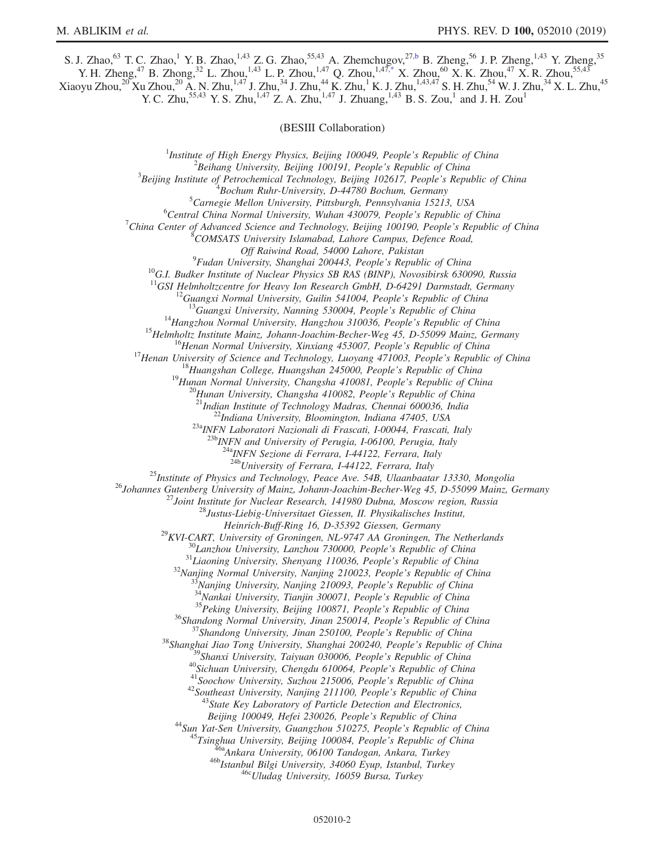<span id="page-1-0"></span>S. J. Zhao,<sup>63</sup> T. C. Zhao,<sup>1</sup> Y. B. Zhao,<sup>1,43</sup> Z. G. Zhao,<sup>55,43</sup> A. Zhemchugov,<sup>2[7,b](#page-2-1)</sup> B. Zheng,<sup>56</sup> J. P. Zheng,<sup>1,43</sup> Y. Zheng,<sup>35</sup> Y. H. Zheng,<sup>47</sup> B. Zhong,<sup>32</sup> L. Zhou,<sup>1,43</sup> L. P. Zhou,<sup>1,47</sup> Q. Zhou,<sup>1,47[,\\*](#page-2-10)</sup> X. Zhou,<sup>60</sup> X. K. Zhou,<sup>47</sup> X. R. Zhou,<sup>55,43</sup>  $X$ iaoyu Zhou, $^{20}$ Xu Zhou, $^{20}$  A. N. Zhu, $^{1,47}$  J. Zhu, $^{34}$  J. Zhu, $^{44}$  K. Zhu, $^{1}$  K. J. Zhu, $^{1,43,47}$  S. H. Zhu, $^{54}$  W. J. Zhu, $^{34}$  X. L. Zhu, $^{45}$ 

Y. C. Zhu,<sup>55,43</sup> Y. S. Zhu,<sup>1,47</sup> Z. A. Zhu,<sup>1,47</sup> J. Zhuang,<sup>1,43</sup> B. S. Zou,<sup>1</sup> and J. H. Zou<sup>1</sup>

(BESIII Collaboration)

<sup>1</sup>Institute of High Energy Physics, Beijing 100049, People's Republic of China  $\frac{2 \text{Poibana}}{2}$  $^2$ Beihang University, Beijing 100191, People's Republic of China  $3$ Beijing Institute of Petrochemical Technology, Beijing 102617, People's Republic of China  $^{4}$ Bochum Ruhr-University, D-44780 Bochum, Germany  ${}^{5}$ Carnegie Mellon University, Pittsburgh, Pennsylvania 15213, USA  $6$ Central China Normal University, Wuhan 430079, People's Republic of China <sup>7</sup>China Center of Advanced Science and Technology, Beijing 100190, People's Republic of China COMSATS University Islamabad, Lahore Campus, Defence Road, Off Raiwind Road, 54000 Lahore, Pakistan<br><sup>9</sup>Fudan University, Shanghai 200443, People's Republic of China <sup>10</sup>G.I. Budker Institute of Nuclear Physics SB RAS (BINP), Novosibirsk 630090, Russia <sup>11</sup>GSI Helmholtzcentre for Heavy Ion Research GmbH, D-64291 Darmstadt, Germany <sup>11</sup>GSI Helmholtzcentre for Heavy Ion Research GmbH, D-64291 Darmstadt, Germany<br><sup>12</sup>Guangxi Normal University, Guilin 541004, People's Republic of China<br><sup>13</sup>Guangxi University, Nanning 530004, People's Republic of China<br><sup></sup>  $\frac{^{23a}NFN}{^{23b}NFN}$  Laboratori Nazionali di Frascati, I-00044, Frascati, Italy<br> $\frac{^{23b}NFN}{^{23b}NFN}$  and University of Perugia, I-06100, Perugia, Italy  $^{4a}$ INFN Sezione di Ferrara, I-44122, Ferrara, Italy<br> $^{24b}$ University of Ferrara, I-44122, Ferrara, Italy <sup>25</sup>Institute of Physics and Technology, Peace Ave. 54B, Ulaanbaatar 13330, Mongolia<br><sup>26</sup>Johannes Gutenberg University of Mainz, Johann-Joachim-Becher-Weg 45, D-55099 Mainz, Germany<br><sup>27</sup>Joint Institute for Nuclear Researc Heinrich-Buff-Ring 16, D-35392 Giessen, Germany<br>
<sup>29</sup>KVI-CART, University of Groningen, NL-9747 AA Groningen, The Netherlands<br>
<sup>31</sup>Liaoning University, Lanzhou 730000, People's Republic of China<br>
<sup>31</sup>Liaoning University, S Beijing 100049, Hefei 230026, People's Republic of China<br><sup>44</sup> Sun Yat-Sen University, Guangzhou 510275, People's Republic of China<br><sup>45</sup> Tsinghua University, Beijing 100084, People's Republic of China<br><sup>46</sup> Ankara University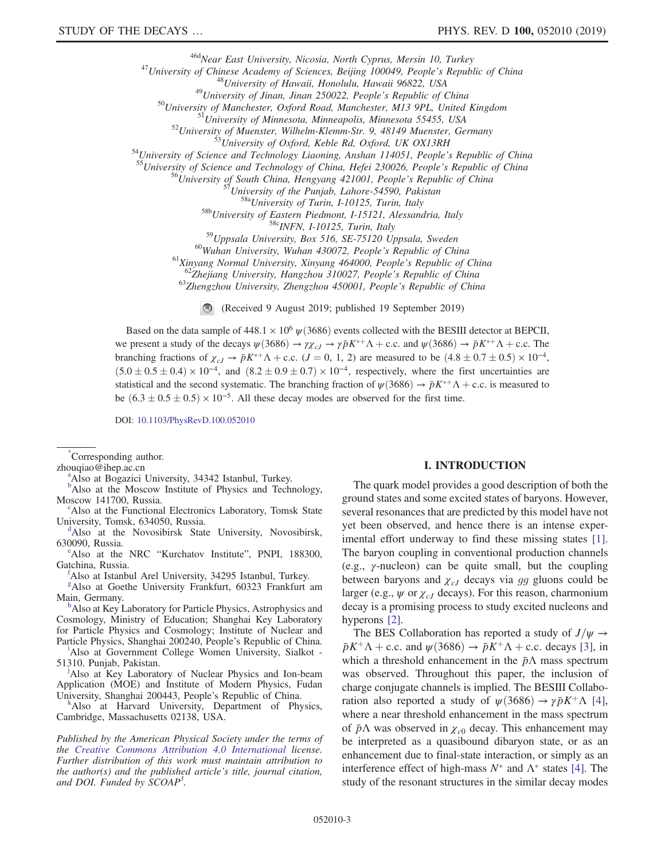<sup>46d</sup>Near East University, Nicosia, North Cyprus, Mersin 10, Turkey<br>
<sup>46d</sup>Near East University of Sciences, Beijing 100049, People's Republic of China<br>
<sup>48</sup>University of Chinese Academy of Sciences, Beijing 100049, People

<sup>59</sup>Uppsala University, Box 516, SE-75120 Uppsala, Sweden<br><sup>60</sup>Wuhan University, Wuhan 430072, People's Republic of China<br><sup>61</sup>Xinyang Normal University, Xinyang 464000, People's Republic of China<br><sup>61</sup>Xinyang Normal Univers

(Received 9 August 2019; published 19 September 2019)

Based on the data sample of 448.1  $\times$  10<sup>6</sup>  $\psi$ (3686) events collected with the BESIII detector at BEPCII, we present a study of the decays  $\psi(3686) \to \gamma \chi_{cJ} \to \gamma \bar{p} K^{*+} \Lambda + \text{c.c.}$  and  $\psi(3686) \to \bar{p} K^{*+} \Lambda + \text{c.c.}$  The branching fractions of  $\chi_{cJ} \to \bar{p}K^{*+}\Lambda$  + c.c. ( $J = 0, 1, 2$ ) are measured to be  $(4.8 \pm 0.7 \pm 0.5) \times 10^{-4}$ ,  $(5.0 \pm 0.5 \pm 0.4) \times 10^{-4}$ , and  $(8.2 \pm 0.9 \pm 0.7) \times 10^{-4}$ , respectively, where the first uncertainties are statistical and the second systematic. The branching fraction of  $\psi(3686) \to \bar{p}K^{*+}\Lambda + \text{c.c.}$  is measured to be  $(6.3 \pm 0.5 \pm 0.5) \times 10^{-5}$ . All these decay modes are observed for the first time.

DOI: [10.1103/PhysRevD.100.052010](https://doi.org/10.1103/PhysRevD.100.052010)

<span id="page-2-10"></span>[\\*](#page-1-0) Corresponding author.

<span id="page-2-9"></span>zhouqi[a](#page-0-0)o $@$ ihep.ac.cn

<sup>a</sup>Also at Bogazici University, 34342 Istanbul, Turkey.

<span id="page-2-1"></span><sup>[b](#page-0-1)</sup>Also at the Moscow Institute of Physics and Technology, Moscow 141700, Russia.

Also at the Functional Electronics Laboratory, Tomsk State University, Tomsk, 634050, Russia.

<span id="page-2-0"></span><sup>d</sup>Also at the Novosibirsk State University, Novosibirsk, 630090, Russia.

<span id="page-2-8"></span><sup>e</sup>Also at the NRC "Kurchatov Institute", PNPI, 188300, Gatchina, Russia.

<span id="page-2-3"></span>Also at Istanbul Arel University, 34295 Istanbul, Turkey.

<span id="page-2-5"></span>[g](#page-0-5) Also at Goethe University Frankfurt, 60323 Frankfurt am Main, Germany.

<span id="page-2-2"></span><sup>h</sup>Also at Key Laboratory for Particle Physics, Astrophysics and Cosmology, Ministry of Education; Shanghai Key Laboratory for Particle Physics and Cosmology; Institute of Nuclear and Part[i](#page-0-7)cle Physics, Shanghai 200240, People's Republic of China.

<span id="page-2-7"></span>Also at Government College Women University, Sialkot - 51310. Punjab, Pakistan. [j](#page-0-8)

<span id="page-2-4"></span><sup>j</sup>Also at Key Laboratory of Nuclear Physics and Ion-beam Application (MOE) and Institute of Modern Physics, Fudan University, Shanghai 200443, People's Republic of China. [k](#page-0-2)

<span id="page-2-6"></span>Also at Harvard University, Department of Physics, Cambridge, Massachusetts 02138, USA.

Published by the American Physical Society under the terms of the [Creative Commons Attribution 4.0 International](https://creativecommons.org/licenses/by/4.0/) license. Further distribution of this work must maintain attribution to the author(s) and the published article's title, journal citation, and DOI. Funded by SCOAP<sup>3</sup>.

### I. INTRODUCTION

The quark model provides a good description of both the ground states and some excited states of baryons. However, several resonances that are predicted by this model have not yet been observed, and hence there is an intense experimental effort underway to find these missing states [\[1\]](#page-9-0). The baryon coupling in conventional production channels (e.g.,  $\gamma$ -nucleon) can be quite small, but the coupling between baryons and  $\chi_{cJ}$  decays via gg gluons could be larger (e.g.,  $\psi$  or  $\chi_{cJ}$  decays). For this reason, charmonium decay is a promising process to study excited nucleons and hyperons [\[2\].](#page-9-1)

The BES Collaboration has reported a study of  $J/\psi \rightarrow$  $\bar{p}K^+\Lambda$  + c.c. and  $\psi(3686) \rightarrow \bar{p}K^+\Lambda$  + c.c. decays [\[3\]](#page-9-2), in which a threshold enhancement in the  $\bar{p}\Lambda$  mass spectrum was observed. Throughout this paper, the inclusion of charge conjugate channels is implied. The BESIII Collaboration also reported a study of  $\psi(3686) \rightarrow \gamma \bar{p} K^+ \Lambda$  [\[4\]](#page-9-3), where a near threshold enhancement in the mass spectrum of  $\bar{p}\Lambda$  was observed in  $\chi_{c0}$  decay. This enhancement may be interpreted as a quasibound dibaryon state, or as an enhancement due to final-state interaction, or simply as an interference effect of high-mass  $N^*$  and  $\Lambda^*$  states [\[4\]](#page-9-3). The study of the resonant structures in the similar decay modes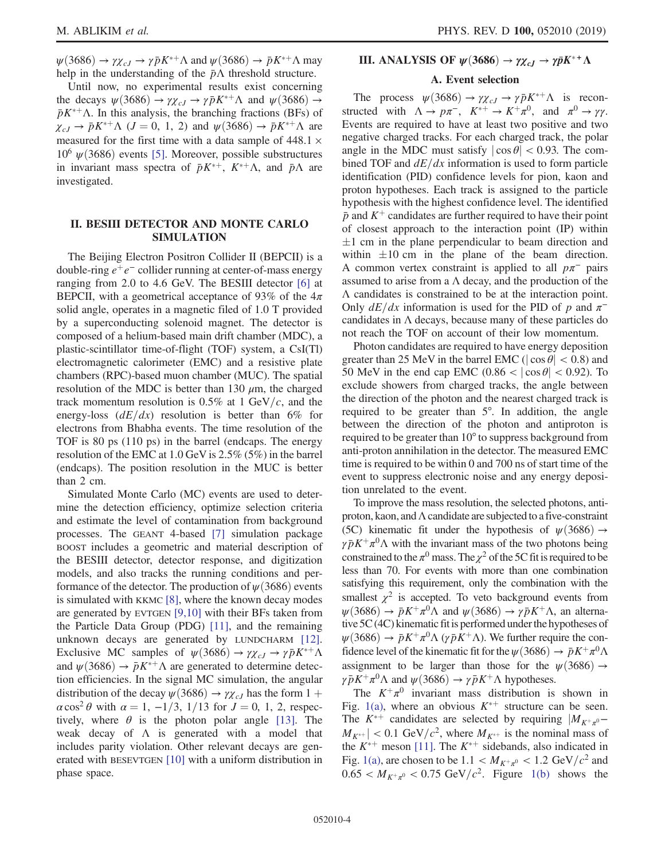$\psi$ (3686)  $\rightarrow \gamma \chi_{cJ} \rightarrow \gamma \bar{p} K^{*+} \Lambda$  and  $\psi$ (3686)  $\rightarrow \bar{p} K^{*+} \Lambda$  may help in the understanding of the  $\bar{p}\Lambda$  threshold structure.

Until now, no experimental results exist concerning the decays  $\psi(3686) \rightarrow \gamma \chi_{cJ} \rightarrow \gamma \bar{p} K^{*+} \Lambda$  and  $\psi(3686) \rightarrow$  $\bar{p}K^{*+}\Lambda$ . In this analysis, the branching fractions (BFs) of  $\chi_{cJ} \rightarrow \bar{p}K^{*+} \Lambda$  (*J* = 0, 1, 2) and  $\psi(3686) \rightarrow \bar{p}K^{*+} \Lambda$  are measured for the first time with a data sample of  $448.1 \times$  $10^6 \psi(3686)$  events [\[5\].](#page-9-4) Moreover, possible substructures in invariant mass spectra of  $\bar{p}K^{*+}$ ,  $K^{*+}\Lambda$ , and  $\bar{p}\Lambda$  are investigated.

## II. BESIII DETECTOR AND MONTE CARLO SIMULATION

The Beijing Electron Positron Collider II (BEPCII) is a double-ring  $e^+e^-$  collider running at center-of-mass energy ranging from 2.0 to 4.6 GeV. The BESIII detector [\[6\]](#page-9-5) at BEPCII, with a geometrical acceptance of 93% of the  $4\pi$ solid angle, operates in a magnetic filed of 1.0 T provided by a superconducting solenoid magnet. The detector is composed of a helium-based main drift chamber (MDC), a plastic-scintillator time-of-flight (TOF) system, a CsI(Tl) electromagnetic calorimeter (EMC) and a resistive plate chambers (RPC)-based muon chamber (MUC). The spatial resolution of the MDC is better than 130  $\mu$ m, the charged track momentum resolution is 0.5% at 1 GeV/c, and the energy-loss  $(dE/dx)$  resolution is better than 6% for electrons from Bhabha events. The time resolution of the TOF is 80 ps (110 ps) in the barrel (endcaps. The energy resolution of the EMC at 1.0 GeV is 2.5% (5%) in the barrel (endcaps). The position resolution in the MUC is better than 2 cm.

Simulated Monte Carlo (MC) events are used to determine the detection efficiency, optimize selection criteria and estimate the level of contamination from background processes. The GEANT 4-based [\[7\]](#page-9-6) simulation package BOOST includes a geometric and material description of the BESIII detector, detector response, and digitization models, and also tracks the running conditions and performance of the detector. The production of  $\psi(3686)$  events is simulated with KKMC [\[8\],](#page-9-7) where the known decay modes are generated by EVTGEN [\[9,10\]](#page-9-8) with their BFs taken from the Particle Data Group (PDG) [\[11\],](#page-9-9) and the remaining unknown decays are generated by LUNDCHARM [\[12\]](#page-9-10). Exclusive MC samples of  $\psi(3686) \to \gamma \chi_{cJ} \to \gamma \bar{p} K^{*+} \Lambda$ and  $\psi(3686) \rightarrow \bar{p}K^{*+} \Lambda$  are generated to determine detection efficiencies. In the signal MC simulation, the angular distribution of the decay  $\psi$ (3686)  $\rightarrow \gamma \chi_{cJ}$  has the form 1 +  $\alpha$  cos<sup>2</sup>  $\theta$  with  $\alpha = 1, -1/3, 1/13$  for  $J = 0, 1, 2$ , respectively, where  $\theta$  is the photon polar angle [\[13\].](#page-9-11) The weak decay of  $\Lambda$  is generated with a model that includes parity violation. Other relevant decays are generated with BESEVTGEN [\[10\]](#page-9-12) with a uniform distribution in phase space.

# **III.** ANALYSIS OF  $\psi$ (3686)  $\rightarrow \gamma \chi_{cJ} \rightarrow \gamma \bar{p} K^*$ +  $\Lambda$

#### A. Event selection

The process  $\psi(3686) \rightarrow \gamma \chi_{cJ} \rightarrow \gamma \bar{p} K^{*+} \Lambda$  is reconstructed with  $\Lambda \to p\pi^-$ ,  $K^{*+} \to K^+\pi^0$ , and  $\pi^0 \to \gamma\gamma$ . Events are required to have at least two positive and two negative charged tracks. For each charged track, the polar angle in the MDC must satisfy  $|\cos \theta|$  < 0.93. The combined TOF and  $dE/dx$  information is used to form particle identification (PID) confidence levels for pion, kaon and proton hypotheses. Each track is assigned to the particle hypothesis with the highest confidence level. The identified  $\bar{p}$  and  $K^+$  candidates are further required to have their point of closest approach to the interaction point (IP) within  $\pm 1$  cm in the plane perpendicular to beam direction and within  $\pm 10$  cm in the plane of the beam direction. A common vertex constraint is applied to all  $p\pi^-$  pairs assumed to arise from a  $\Lambda$  decay, and the production of the Λ candidates is constrained to be at the interaction point. Only  $dE/dx$  information is used for the PID of p and  $\pi^$ candidates in Λ decays, because many of these particles do not reach the TOF on account of their low momentum.

Photon candidates are required to have energy deposition greater than 25 MeV in the barrel EMC ( $|\cos \theta|$  < 0.8) and 50 MeV in the end cap EMC  $(0.86 < |\cos \theta| < 0.92)$ . To exclude showers from charged tracks, the angle between the direction of the photon and the nearest charged track is required to be greater than 5°. In addition, the angle between the direction of the photon and antiproton is required to be greater than 10° to suppress background from anti-proton annihilation in the detector. The measured EMC time is required to be within 0 and 700 ns of start time of the event to suppress electronic noise and any energy deposition unrelated to the event.

To improve the mass resolution, the selected photons, antiproton, kaon, and  $\Lambda$  candidate are subjected to a five-constraint (5C) kinematic fit under the hypothesis of  $\psi$ (3686)  $\rightarrow$  $\gamma \bar{p} K^+ \pi^0 \Lambda$  with the invariant mass of the two photons being constrained to the  $\pi^0$  mass. The  $\chi^2$  of the 5C fit is required to be less than 70. For events with more than one combination satisfying this requirement, only the combination with the smallest  $\chi^2$  is accepted. To veto background events from  $\psi(3686) \rightarrow \bar{p}K^+\pi^0\Lambda$  and  $\psi(3686) \rightarrow \gamma\bar{p}K^+\Lambda$ , an alternative 5C (4C) kinematic fitis performed under the hypotheses of  $\psi$ (3686)  $\rightarrow \bar{p}K^+\pi^0\Lambda$  (γ $\bar{p}K^+\Lambda$ ). We further require the confidence level of the kinematic fit for the  $\psi$ (3686)  $\rightarrow \bar{p}K^{+}\pi^{0}\Lambda$ assignment to be larger than those for the  $\psi(3686) \rightarrow$  $\gamma \bar{p} K^+ \pi^0 \Lambda$  and  $\psi$  (3686)  $\rightarrow \gamma \bar{p} K^+ \Lambda$  hypotheses.

The  $K^+\pi^0$  invariant mass distribution is shown in Fig. [1\(a\),](#page-4-0) where an obvious  $K^{*+}$  structure can be seen. The  $K^{*+}$  candidates are selected by requiring  $|M_{K^+\pi^0}$  $|M_{K^{*+}}|$  < 0.1 GeV/ $c^2$ , where  $M_{K^{*+}}$  is the nominal mass of the  $K^{*+}$  meson [\[11\].](#page-9-9) The  $K^{*+}$  sidebands, also indicated in Fig. [1\(a\)](#page-4-0), are chosen to be  $1.1 < M_{K^+\pi^0} < 1.2 \text{ GeV}/c^2$  and  $0.65 < M_{K^+\pi^0} < 0.75 \text{ GeV}/c^2$ . Figure [1\(b\)](#page-4-0) shows the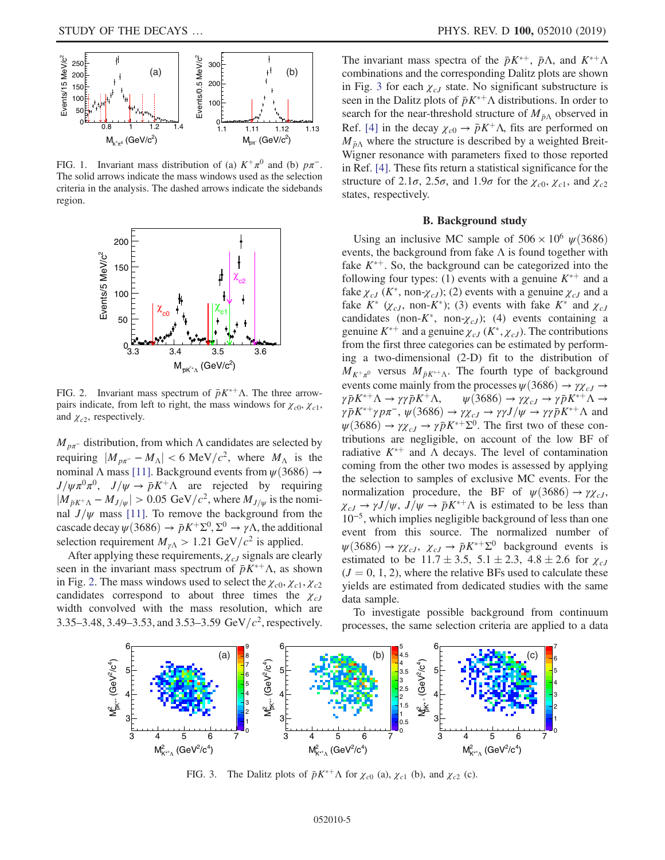<span id="page-4-0"></span>

FIG. 1. Invariant mass distribution of (a)  $K^+\pi^0$  and (b)  $p\pi^-$ . The solid arrows indicate the mass windows used as the selection criteria in the analysis. The dashed arrows indicate the sidebands region.

<span id="page-4-1"></span>

FIG. 2. Invariant mass spectrum of  $\bar{p}K^{*+}\Lambda$ . The three arrowpairs indicate, from left to right, the mass windows for  $\chi_{c0}$ ,  $\chi_{c1}$ , and  $\chi_{c2}$ , respectively.

 $M_{p\pi}$ - distribution, from which  $\Lambda$  candidates are selected by requiring  $|M_{p\pi} - M_{\Lambda}| < 6 \text{ MeV}/c^2$ , where  $M_{\Lambda}$  is the nominal Λ mass [\[11\].](#page-9-9) Background events from  $\psi$ (3686)  $\rightarrow$  $J/\psi \pi^0 \pi^0$ ,  $J/\psi \rightarrow \bar{p}K^+ \Lambda$  are rejected by requiring  $|M_{\bar{p}K^+\Lambda}-M_{J/\psi}| > 0.05$  GeV/ $c^2$ , where  $M_{J/\psi}$  is the nominal  $J/\psi$  mass [\[11\].](#page-9-9) To remove the background from the cascade decay  $\psi$ (3686)  $\rightarrow \bar{p}K^+\Sigma^0$ ,  $\Sigma^0 \rightarrow \gamma\Lambda$ , the additional selection requirement  $M_{\gamma\Lambda} > 1.21 \text{ GeV}/c^2$  is applied.

After applying these requirements,  $\chi_{cJ}$  signals are clearly seen in the invariant mass spectrum of  $\bar{p}K^{*+}\Lambda$ , as shown in Fig. [2.](#page-4-1) The mass windows used to select the  $\chi_{c0}, \chi_{c1}, \chi_{c2}$ candidates correspond to about three times the  $\chi_{cJ}$ width convolved with the mass resolution, which are 3.35–3.48, 3.49–3.53, and 3.53–3.59 GeV/ $c^2$ , respectively.

The invariant mass spectra of the  $\bar{p}K^{*+}$ ,  $\bar{p}\Lambda$ , and  $K^{*+}\Lambda$ combinations and the corresponding Dalitz plots are shown in Fig. [3](#page-4-2) for each  $\chi_{cJ}$  state. No significant substructure is seen in the Dalitz plots of  $\bar{p}K^{*+}\Lambda$  distributions. In order to search for the near-threshold structure of  $M_{\bar{p}\Lambda}$  observed in Ref. [\[4\]](#page-9-3) in the decay  $\chi_{c0} \to \bar{p} K^+ \Lambda$ , fits are performed on  $M_{\bar{p}\Lambda}$  where the structure is described by a weighted Breit-Wigner resonance with parameters fixed to those reported in Ref. [\[4\].](#page-9-3) These fits return a statistical significance for the structure of 2.1 $\sigma$ , 2.5 $\sigma$ , and 1.9 $\sigma$  for the  $\chi_{c0}$ ,  $\chi_{c1}$ , and  $\chi_{c2}$ states, respectively.

### B. Background study

<span id="page-4-3"></span>Using an inclusive MC sample of  $506 \times 10^6 \text{ }\psi(3686)$ events, the background from fake  $\Lambda$  is found together with fake  $K^{*+}$ . So, the background can be categorized into the following four types: (1) events with a genuine  $K^{*+}$  and a fake  $\chi_{cJ}$  (K<sup>\*</sup>, non- $\chi_{cJ}$ ); (2) events with a genuine  $\chi_{cJ}$  and a fake  $K^*$  ( $\chi_{cJ}$ , non- $K^*$ ); (3) events with fake  $K^*$  and  $\chi_{cJ}$ candidates (non- $K^*$ , non- $\chi_{cJ}$ ); (4) events containing a genuine  $K^{*+}$  and a genuine  $\chi_{cJ}$  ( $K^*, \chi_{cJ}$ ). The contributions from the first three categories can be estimated by performing a two-dimensional (2-D) fit to the distribution of  $M_{K^+\pi^0}$  versus  $M_{\bar{p}K^{\ast+\Lambda}}$ . The fourth type of background events come mainly from the processes  $\psi$ (3686)  $\rightarrow \gamma \chi_{cJ} \rightarrow$  $\gamma \bar{p} K^{*+} \Lambda \rightarrow \gamma \gamma \bar{p} K^{+} \Lambda$ ,  ${}^+\Lambda \to \gamma \gamma \bar{p} K^+ \Lambda, \qquad \psi(3686) \to \gamma \chi_{cJ} \to \gamma \bar{p} K^{*+} \Lambda \to$  $\gamma \bar{p} K^{*+} \gamma p \pi^-, \psi(3686) \to \gamma \chi_{cJ} \to \gamma \gamma J/\psi \to \gamma \gamma \bar{p} K^{*+} \Lambda$  and  $\psi(3686) \rightarrow \gamma \chi_{cJ} \rightarrow \gamma \bar{p} K^{*+} \Sigma^0$ . The first two of these contributions are negligible, on account of the low BF of radiative  $K^{*+}$  and  $\Lambda$  decays. The level of contamination coming from the other two modes is assessed by applying the selection to samples of exclusive MC events. For the normalization procedure, the BF of  $\psi(3686) \rightarrow \gamma \chi_{cJ}$ ,  $\chi_{cJ} \rightarrow \gamma J/\psi$ ,  $J/\psi \rightarrow \bar{p}K^{*+} \Lambda$  is estimated to be less than 10<sup>−</sup><sup>5</sup>, which implies negligible background of less than one event from this source. The normalized number of  $\psi(3686) \rightarrow \gamma \chi_{cJ}, \chi_{cJ} \rightarrow \bar{p}K^{*+}\Sigma^0$  background events is estimated to be  $11.7 \pm 3.5$ ,  $5.1 \pm 2.3$ ,  $4.8 \pm 2.6$  for  $\chi_{cJ}$  $(J = 0, 1, 2)$ , where the relative BFs used to calculate these yields are estimated from dedicated studies with the same data sample.

To investigate possible background from continuum processes, the same selection criteria are applied to a data

<span id="page-4-2"></span>

FIG. 3. The Dalitz plots of  $\bar{p}K^{*+}\Lambda$  for  $\chi_{c0}$  (a),  $\chi_{c1}$  (b), and  $\chi_{c2}$  (c).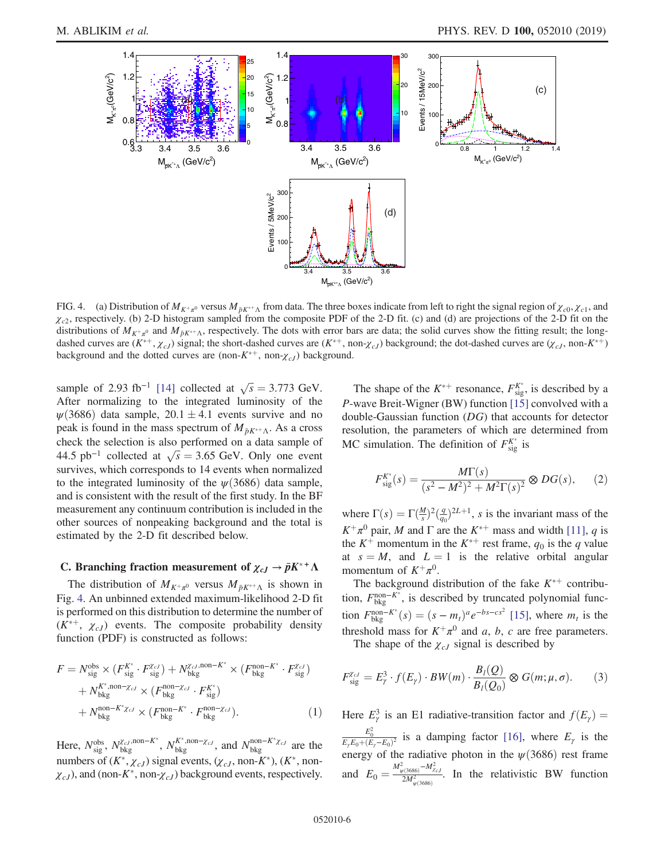<span id="page-5-0"></span>

FIG. 4. (a) Distribution of  $M_{K^+\pi^0}$  versus  $M_{\bar{p}K^{\ast+\Lambda}}$  from data. The three boxes indicate from left to right the signal region of  $\chi_{c0}, \chi_{c1}$ , and  $\chi_{c2}$ , respectively. (b) 2-D histogram sampled from the composite PDF of the 2-D fit. (c) and (d) are projections of the 2-D fit on the distributions of  $M_{K^+\pi^0}$  and  $M_{\bar{p}K^+\Lambda}$ , respectively. The dots with error bars are data; the solid curves show the fitting result; the longdashed curves are  $(K^{*+}, \chi_{cJ})$  signal; the short-dashed curves are  $(K^{*+}, non-\chi_{cJ})$  background; the dot-dashed curves are  $(\chi_{cJ}, non-K^{*+})$ background and the dotted curves are (non- $K^{*+}$ , non- $\chi_{cJ}$ ) background.

sample of 2.93 fb<sup>-1</sup> [\[14\]](#page-9-13) collected at  $\sqrt{s} = 3.773$  GeV. After normalizing to the integrated luminosity of the  $\psi(3686)$  data sample,  $20.1 \pm 4.1$  events survive and no peak is found in the mass spectrum of  $M_{\bar{p}K^{*+}\Lambda}$ . As a cross check the selection is also performed on a data sample of check the selection is also performed on a data sample of 44.5 pb<sup>-1</sup> collected at  $\sqrt{s} = 3.65$  GeV. Only one event survives, which corresponds to 14 events when normalized to the integrated luminosity of the  $\psi$ (3686) data sample, and is consistent with the result of the first study. In the BF measurement any continuum contribution is included in the other sources of nonpeaking background and the total is estimated by the 2-D fit described below.

# <span id="page-5-1"></span>C. Branching fraction measurement of  $\chi_{cJ} \to \bar{p}K^*$ <sup>+</sup>  $\Lambda$

The distribution of  $M_{K^+\pi^0}$  versus  $M_{\bar{p}K^{*+}\Lambda}$  is shown in Fig. [4](#page-5-0). An unbinned extended maximum-likelihood 2-D fit is performed on this distribution to determine the number of  $(K^{*+}, \chi_{cJ})$  events. The composite probability density function (PDF) is constructed as follows:

$$
F = N_{\text{sig}}^{\text{obs}} \times (F_{\text{sig}}^{K^*} \cdot F_{\text{sig}}^{\chi_{cJ}}) + N_{\text{bkg}}^{\chi_{cJ},\text{non}-K^*} \times (F_{\text{bkg}}^{\text{non}-K^*} \cdot F_{\text{sig}}^{\chi_{cJ}}) + N_{\text{bkg}}^{K^*,\text{non}-\chi_{cJ}} \times (F_{\text{bkg}}^{\text{non}-\chi_{cJ}} \cdot F_{\text{sig}}^{K^*}) + N_{\text{bkg}}^{\text{non}-K^* \chi_{cJ}} \times (F_{\text{bkg}}^{\text{non}-K^*} \cdot F_{\text{bkg}}^{\text{non}-\chi_{cJ}}).
$$
 (1)

Here,  $N_{sig}^{obs}$ ,  $N_{bkg}^{\chi_{cJ},non-K^*}$ ,  $N_{bkg}^{K^*,non-\chi_{cJ}}$ , and  $N_{bkg}^{non-K^*\chi_{cJ}}$  are the numbers of  $(K^*, \chi_{cJ})$  signal events,  $(\chi_{cJ}, \text{non-}K^*)$ ,  $(K^*, \text{non-}K^*)$  $\chi_{cJ}$ ), and (non-K<sup>\*</sup>, non- $\chi_{cJ}$ ) background events, respectively.

The shape of the  $K^{*+}$  resonance,  $F_{\text{sig}}^{K^*}$ , is described by a P-wave Breit-Wigner (BW) function [\[15\]](#page-9-14) convolved with a double-Gaussian function (DG) that accounts for detector resolution, the parameters of which are determined from MC simulation. The definition of  $F_{sig}^{K^*}$  is

$$
F_{\text{sig}}^{K^*}(s) = \frac{M\Gamma(s)}{(s^2 - M^2)^2 + M^2\Gamma(s)^2} \otimes DG(s), \qquad (2)
$$

where  $\Gamma(s) = \Gamma(\frac{M}{s})^2(\frac{q}{q_0})^{2L+1}$ , s is the invariant mass of the  $K^+\pi^0$  pair, M and  $\Gamma$  are the  $K^{*+}$  mass and width [\[11\]](#page-9-9), q is the  $K^+$  momentum in the  $K^{*+}$  rest frame,  $q_0$  is the q value at  $s = M$ , and  $L = 1$  is the relative orbital angular momentum of  $K^+\pi^0$ .

The background distribution of the fake  $K^{*+}$  contribution,  $F_{\text{bkg}}^{\text{non-K*}}$ , is described by truncated polynomial function  $F_{\text{bkg}}^{\text{non}-K^*}(s) = (s - m_t)^a e^{-bs - cs^2}$  [\[15\],](#page-9-14) where  $m_t$  is the threshold mass for  $K^+\pi^0$  and a, b, c are free parameters.

The shape of the  $\chi_{cJ}$  signal is described by

$$
F_{\text{sig}}^{\chi_{cJ}} = E_\gamma^3 \cdot f(E_\gamma) \cdot BW(m) \cdot \frac{B_I(Q)}{B_I(Q_0)} \otimes G(m; \mu, \sigma). \tag{3}
$$

Here  $E_{\gamma}^{3}$  is an E1 radiative-transition factor and  $f(E_{\gamma}) =$  $rac{E_0^2}{E_y E_0 + (E_y - E_0)^2}$  is a damping factor [\[16\],](#page-9-15) where  $E_\gamma$  is the energy of the radiative photon in the  $\psi$ (3686) rest frame and  $E_0 = \frac{M_{\psi(3686)}^2 - M_{\chi cJ}^2}{2M_{\psi(3686)}^2}$ . In the relativistic BW function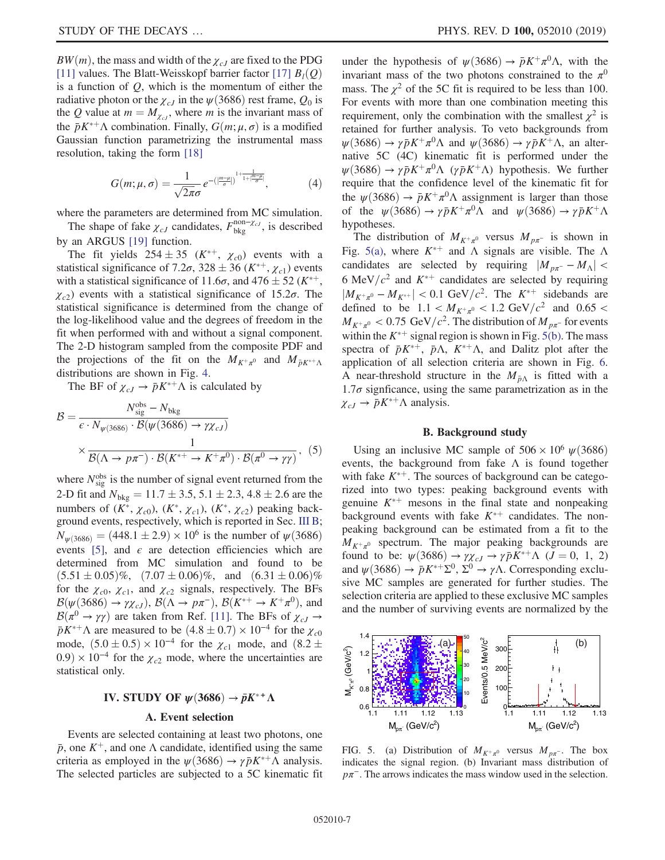$BW(m)$ , the mass and width of the  $\chi_{cJ}$  are fixed to the PDG [\[11\]](#page-9-9) values. The Blatt-Weisskopf barrier factor [\[17\]](#page-9-16)  $B_l(Q)$ is a function of  $Q$ , which is the momentum of either the radiative photon or the  $\chi_{cJ}$  in the  $\psi$ (3686) rest frame,  $Q_0$  is the Q value at  $m = M_{\chi_{cl}}$ , where m is the invariant mass of the  $\bar{p}K^{*+}\Lambda$  combination. Finally,  $G(m; \mu, \sigma)$  is a modified Gaussian function parametrizing the instrumental mass resolution, taking the form [\[18\]](#page-9-17)

$$
G(m; \mu, \sigma) = \frac{1}{\sqrt{2\pi}\sigma} e^{-\left(\left|\frac{m-\mu}{\sigma}\right|\right)^{1+\frac{1}{1+\left|\frac{m-\mu}{\sigma}\right|}}},\tag{4}
$$

where the parameters are determined from MC simulation. The shape of fake  $\chi_{cJ}$  candidates,  $F_{\text{bkg}}^{\text{non-}\chi_{cJ}}$ , is described

by an ARGUS [\[19\]](#page-9-18) function.

The fit yields  $254 \pm 35$  ( $K^{*+}$ ,  $\chi_{c0}$ ) events with a statistical significance of 7.2 $\sigma$ , 328 ± 36 ( $K^{*+}$ ,  $\chi_{c1}$ ) events with a statistical significance of 11.6 $\sigma$ , and 476  $\pm$  52 ( $K^{*+}$ ,  $\chi_{c2}$ ) events with a statistical significance of 15.2 $\sigma$ . The statistical significance is determined from the change of the log-likelihood value and the degrees of freedom in the fit when performed with and without a signal component. The 2-D histogram sampled from the composite PDF and the projections of the fit on the  $M_{K^+\pi^0}$  and  $M_{\bar{p}K^{*+}\Lambda}$ distributions are shown in Fig. [4.](#page-5-0)

The BF of  $\chi_{cJ} \to \bar{p}K^{*+} \Lambda$  is calculated by

$$
\mathcal{B} = \frac{N_{\text{sig}}^{\text{obs}} - N_{\text{bkg}}}{\epsilon \cdot N_{\psi(3686)} \cdot \mathcal{B}(\psi(3686) \to \gamma \chi_{cJ})} \times \frac{1}{\mathcal{B}(\Lambda \to p\pi^{-}) \cdot \mathcal{B}(K^{*+} \to K^{+}\pi^{0}) \cdot \mathcal{B}(\pi^{0} \to \gamma\gamma)},
$$
(5)

where  $N_{sig}^{obs}$  is the number of signal event returned from the 2-D fit and  $N_{\text{bkg}} = 11.7 \pm 3.5, 5.1 \pm 2.3, 4.8 \pm 2.6$  are the numbers of  $(K^*, \chi_{c0})$ ,  $(K^*, \chi_{c1})$ ,  $(K^*, \chi_{c2})$  peaking background events, respectively, which is reported in Sec. [III B](#page-4-3);  $N_{\psi(3686)} = (448.1 \pm 2.9) \times 10^6$  is the number of  $\psi(3686)$ events [\[5\]](#page-9-4), and  $\epsilon$  are detection efficiencies which are determined from MC simulation and found to be  $(5.51 \pm 0.05)\%$ ,  $(7.07 \pm 0.06)\%$ , and  $(6.31 \pm 0.06)\%$ for the  $\chi_{c0}$ ,  $\chi_{c1}$ , and  $\chi_{c2}$  signals, respectively. The BFs  $\mathcal{B}(\psi(3686) \to \gamma \chi_{cJ}), \mathcal{B}(\Lambda \to p\pi^{-}), \mathcal{B}(K^{*+} \to K^{+}\pi^{0}),$  and  $\mathcal{B}(\pi^0 \to \gamma \gamma)$  are taken from Ref. [\[11\]](#page-9-9). The BFs of  $\chi_{cJ} \to$  $\bar{p}K^{*+}\Lambda$  are measured to be  $(4.8 \pm 0.7) \times 10^{-4}$  for the  $\chi_{c0}$ mode,  $(5.0 \pm 0.5) \times 10^{-4}$  for the  $\chi_{c1}$  mode, and  $(8.2 \pm$  $(0.9) \times 10^{-4}$  for the  $\chi_{c2}$  mode, where the uncertainties are statistical only.

# IV. STUDY OF  $\psi(3686) \rightarrow \bar{p}K^{*+}\Lambda$

#### A. Event selection

Events are selected containing at least two photons, one  $\bar{p}$ , one  $K^+$ , and one Λ candidate, identified using the same criteria as employed in the  $\psi(3686) \rightarrow \gamma \bar{p} K^{*+} \Lambda$  analysis. The selected particles are subjected to a 5C kinematic fit under the hypothesis of  $\psi(3686) \rightarrow \bar{p}K^+\pi^0\Lambda$ , with the invariant mass of the two photons constrained to the  $\pi^0$ mass. The  $\chi^2$  of the 5C fit is required to be less than 100. For events with more than one combination meeting this requirement, only the combination with the smallest  $\chi^2$  is retained for further analysis. To veto backgrounds from  $\psi$ (3686)  $\rightarrow \gamma \bar{p} K^+ \pi^0 \Lambda$  and  $\psi$ (3686)  $\rightarrow \gamma \bar{p} K^+ \Lambda$ , an alternative 5C (4C) kinematic fit is performed under the  $\psi(3686) \rightarrow \gamma \bar{p} K^+ \pi^0 \Lambda$  ( $\gamma \bar{p} K^+ \Lambda$ ) hypothesis. We further require that the confidence level of the kinematic fit for the  $\psi(3686) \rightarrow \bar{p}K^+\pi^0\Lambda$  assignment is larger than those of the  $\psi(3686) \rightarrow \gamma \bar{p} K^+ \pi^0 \Lambda$  and  $\psi(3686) \rightarrow \gamma \bar{p} K^+ \Lambda$ hypotheses.

The distribution of  $M_{K^+\pi^0}$  versus  $M_{p\pi^-}$  is shown in Fig. [5\(a\)](#page-6-0), where  $K^{*+}$  and  $\Lambda$  signals are visible. The  $\Lambda$ candidates are selected by requiring  $|M_{p\pi} - M_{\Lambda}|$  < 6 MeV/ $c^2$  and  $K^{*+}$  candidates are selected by requiring  $|M_{K^+\pi^0} - M_{K^{*+}}| < 0.1 \text{ GeV}/c^2$ . The  $K^{*+}$  sidebands are defined to be  $1.1 < M_{K^+\pi^0} < 1.2 \text{ GeV}/c^2$  and  $0.65 <$  $M_{K^+\pi^0}$  < 0.75 GeV/ $c^2$ . The distribution of  $M_{p\pi^-}$  for events within the  $K^{*+}$  signal region is shown in Fig. [5\(b\).](#page-6-0) The mass spectra of  $\bar{p}K^{*+}$ ,  $\bar{p}\Lambda$ ,  $K^{*+}\Lambda$ , and Dalitz plot after the application of all selection criteria are shown in Fig. [6](#page-7-0). A near-threshold structure in the  $M_{\bar{p}\Lambda}$  is fitted with a  $1.7\sigma$  signficance, using the same parametrization as in the  $\chi_{cJ} \rightarrow \bar{p}K^{*+} \Lambda$  analysis.

#### B. Background study

<span id="page-6-1"></span>Using an inclusive MC sample of  $506 \times 10^6 \psi(3686)$ events, the background from fake  $\Lambda$  is found together with fake  $K^{*+}$ . The sources of background can be categorized into two types: peaking background events with genuine  $K^{*+}$  mesons in the final state and nonpeaking background events with fake  $K^{*+}$  candidates. The nonpeaking background can be estimated from a fit to the  $M_{K^+\pi^0}$  spectrum. The major peaking backgrounds are found to be:  $\psi(3686) \rightarrow \gamma \chi_{cJ} \rightarrow \gamma \bar{p} K^{*+} \Lambda$  ( $J = 0, 1, 2$ ) and  $\psi(3686) \rightarrow \bar{p}K^{*+}\Sigma^0$ ,  $\Sigma^0 \rightarrow \gamma \Lambda$ . Corresponding exclusive MC samples are generated for further studies. The selection criteria are applied to these exclusive MC samples and the number of surviving events are normalized by the

<span id="page-6-0"></span>

FIG. 5. (a) Distribution of  $M_{K^+\pi^0}$  versus  $M_{p\pi^-}$ . The box indicates the signal region. (b) Invariant mass distribution of  $p\pi$ <sup>-</sup>. The arrows indicates the mass window used in the selection.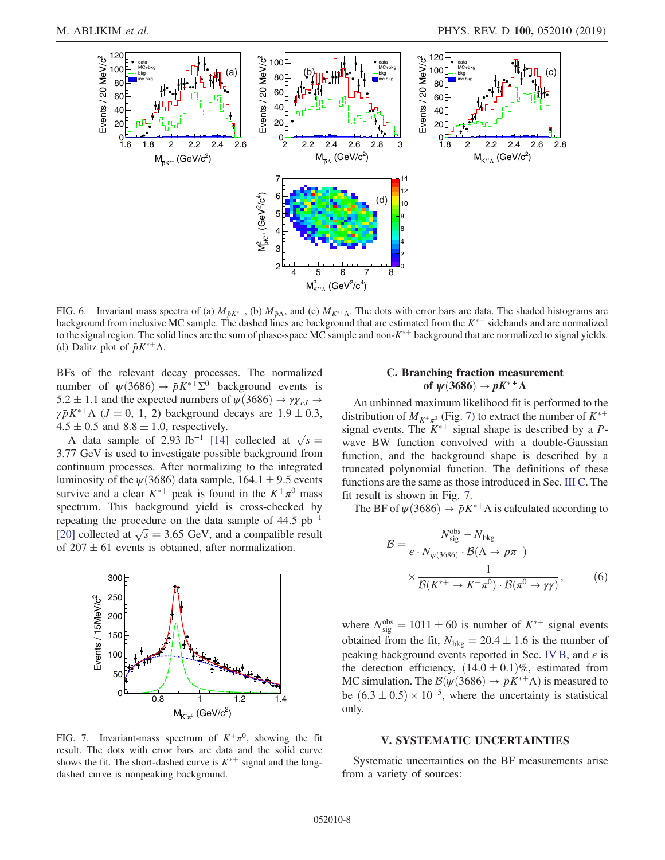<span id="page-7-0"></span>

FIG. 6. Invariant mass spectra of (a)  $M_{\bar{p}K^{*+}}$ , (b)  $M_{\bar{p}\Lambda}$ , and (c)  $M_{K^{*+}\Lambda}$ . The dots with error bars are data. The shaded histograms are background from inclusive MC sample. The dashed lines are background that are estimated from the  $K^{*+}$  sidebands and are normalized to the signal region. The solid lines are the sum of phase-space MC sample and non- $K^{*+}$  background that are normalized to signal yields. (d) Dalitz plot of  $\bar{p}K^{*+}\Lambda$ .

BFs of the relevant decay processes. The normalized number of  $\psi(3686) \to \bar{p}K^{*+}\Sigma^0$  background events is 5.2  $\pm$  1.1 and the expected numbers of  $\psi$ (3686)  $\rightarrow \gamma \chi_{cJ}$   $\rightarrow$  $\gamma \bar{p} K^{*+} \Lambda$  ( $J = 0, 1, 2$ ) background decays are  $1.9 \pm 0.3$ ,  $4.5 \pm 0.5$  and  $8.8 \pm 1.0$ , respectively.

 $\lambda \pm 0.5$  and 8.8 ± 1.0, respectively.<br>A data sample of 2.93 fb<sup>-1</sup> [\[14\]](#page-9-13) collected at  $\sqrt{s} =$ 3.77 GeV is used to investigate possible background from continuum processes. After normalizing to the integrated luminosity of the  $\psi$ (3686) data sample, 164.1  $\pm$  9.5 events survive and a clear  $K^{*+}$  peak is found in the  $K^+\pi^0$  mass spectrum. This background yield is cross-checked by repeating the procedure on the data sample of  $44.5$  pb<sup>-1</sup> repeating the procedure on the data sample of 44.5 pb<sup>-1</sup> [\[20\]](#page-9-19) collected at  $\sqrt{s} = 3.65$  GeV, and a compatible result of  $207 \pm 61$  events is obtained, after normalization.

<span id="page-7-1"></span>

FIG. 7. Invariant-mass spectrum of  $K^+\pi^0$ , showing the fit result. The dots with error bars are data and the solid curve shows the fit. The short-dashed curve is  $K^{*+}$  signal and the longdashed curve is nonpeaking background.

# C. Branching fraction measurement of  $\psi(3686) \to \bar{p}K^{*+}\Lambda$

An unbinned maximum likelihood fit is performed to the distribution of  $M_{K^+\pi^0}$  (Fig. [7](#page-7-1)) to extract the number of  $K^{*+}$ signal events. The  $K^{*+}$  signal shape is described by a Pwave BW function convolved with a double-Gaussian function, and the background shape is described by a truncated polynomial function. The definitions of these functions are the same as those introduced in Sec. [III C](#page-5-1). The fit result is shown in Fig. [7.](#page-7-1)

The BF of  $\psi(3686) \to \bar{p}K^{*+}\Lambda$  is calculated according to

$$
\mathcal{B} = \frac{N_{\text{sig}}^{\text{obs}} - N_{\text{bkg}}}{\varepsilon \cdot N_{\psi(3686)} \cdot \mathcal{B}(\Lambda \to p\pi^{-})} \times \frac{1}{\mathcal{B}(K^{*+} \to K^{+}\pi^{0}) \cdot \mathcal{B}(\pi^{0} \to \gamma\gamma)},
$$
(6)

where  $N_{sig}^{obs} = 1011 \pm 60$  is number of  $K^{*+}$  signal events obtained from the fit,  $N_{bkg} = 20.4 \pm 1.6$  is the number of peaking background events reported in Sec. [IV B,](#page-6-1) and  $\epsilon$  is the detection efficiency,  $(14.0 \pm 0.1)\%$ , estimated from MC simulation. The  $\mathcal{B}(\psi(3686) \to \bar{p}K^{*+} \Lambda)$  is measured to be  $(6.3 \pm 0.5) \times 10^{-5}$ , where the uncertainty is statistical only.

## V. SYSTEMATIC UNCERTAINTIES

Systematic uncertainties on the BF measurements arise from a variety of sources: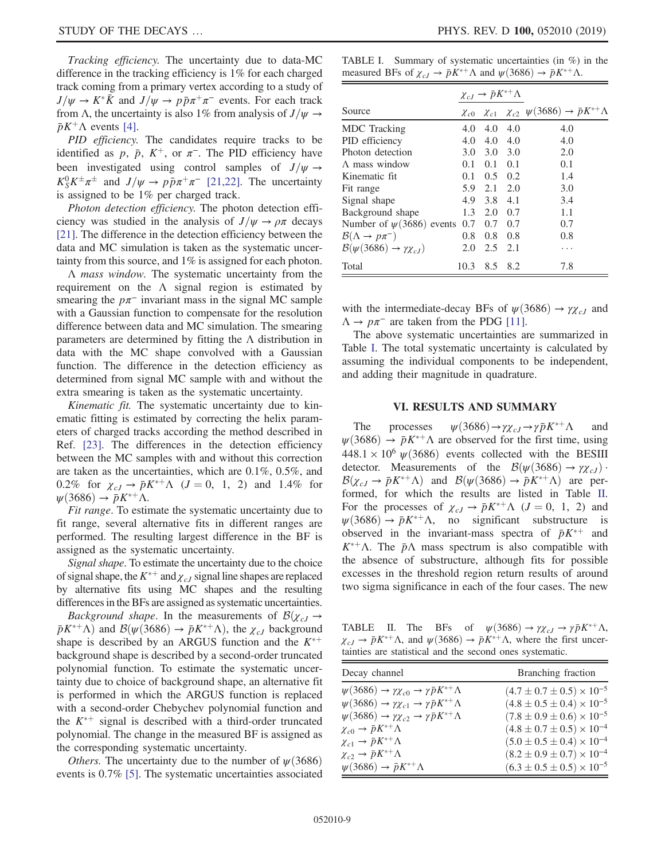Tracking efficiency. The uncertainty due to data-MC difference in the tracking efficiency is 1% for each charged track coming from a primary vertex according to a study of  $J/\psi \rightarrow K^* \bar{K}$  and  $J/\psi \rightarrow p \bar{p} \pi^+ \pi^-$  events. For each track from Λ, the uncertainty is also 1% from analysis of  $J/\psi \rightarrow$  $\bar{p}K^{+}\Lambda$  events [\[4\]](#page-9-3).

PID efficiency. The candidates require tracks to be identified as p,  $\bar{p}$ ,  $K^+$ , or  $\pi^-$ . The PID efficiency have been investigated using control samples of  $J/\psi \rightarrow$  $K_S^0 K^{\pm} \pi^{\pm}$  and  $J/\psi \rightarrow p \bar{p} \pi^+ \pi^-$  [\[21,22\].](#page-9-20) The uncertainty is assigned to be 1% per charged track.

Photon detection efficiency. The photon detection efficiency was studied in the analysis of  $J/\psi \rightarrow \rho \pi$  decays [\[21\]](#page-9-20). The difference in the detection efficiency between the data and MC simulation is taken as the systematic uncertainty from this source, and 1% is assigned for each photon.

Λ mass window. The systematic uncertainty from the requirement on the  $\Lambda$  signal region is estimated by smearing the  $p\pi^-$  invariant mass in the signal MC sample with a Gaussian function to compensate for the resolution difference between data and MC simulation. The smearing parameters are determined by fitting the  $\Lambda$  distribution in data with the MC shape convolved with a Gaussian function. The difference in the detection efficiency as determined from signal MC sample with and without the extra smearing is taken as the systematic uncertainty.

Kinematic fit. The systematic uncertainty due to kinematic fitting is estimated by correcting the helix parameters of charged tracks according the method described in Ref. [\[23\]](#page-9-21). The differences in the detection efficiency between the MC samples with and without this correction are taken as the uncertainties, which are 0.1%, 0.5%, and  $0.2\%$  for  $\chi_{cJ} \rightarrow \bar{p}K^{*+}\Lambda$   $(J = 0, 1, 2)$  and 1.4% for  $\psi$ (3686)  $\rightarrow \bar{p}K^{*+}\Lambda$ .

Fit range. To estimate the systematic uncertainty due to fit range, several alternative fits in different ranges are performed. The resulting largest difference in the BF is assigned as the systematic uncertainty.

Signal shape. To estimate the uncertainty due to the choice of signal shape, the  $K^{*+}$  and  $\chi_{cJ}$  signal line shapes are replaced by alternative fits using MC shapes and the resulting differences in the BFs are assigned as systematic uncertainties.

*Background shape.* In the measurements of  $\mathcal{B}(\chi_{cJ} \rightarrow$  $\bar{p}K^{*+}\Lambda$ ) and  $\mathcal{B}(\psi(3686) \to \bar{p}K^{*+}\Lambda)$ , the  $\chi_{cJ}$  background shape is described by an ARGUS function and the  $K^{*+}$ background shape is described by a second-order truncated polynomial function. To estimate the systematic uncertainty due to choice of background shape, an alternative fit is performed in which the ARGUS function is replaced with a second-order Chebychev polynomial function and the  $K^{*+}$  signal is described with a third-order truncated polynomial. The change in the measured BF is assigned as the corresponding systematic uncertainty.

*Others*. The uncertainty due to the number of  $\psi$ (3686) events is 0.7% [\[5\].](#page-9-4) The systematic uncertainties associated

<span id="page-8-0"></span>TABLE I. Summary of systematic uncertainties (in %) in the measured BFs of  $\chi_{cJ} \to \bar{p}K^{*+} \Lambda$  and  $\psi(3686) \to \bar{p}K^{*+} \Lambda$ .

|                                                        | $\chi_{cJ}\to \bar{p}K^{*+}\Lambda$ |             |     |                                                          |
|--------------------------------------------------------|-------------------------------------|-------------|-----|----------------------------------------------------------|
| Source                                                 | $\chi_{c0}$                         | $\chi_{c1}$ |     | $\chi_{c2} \psi(3686) \rightarrow \bar{p}K^{*+} \Lambda$ |
| <b>MDC</b> Tracking                                    | 4.0                                 | 4.0         | 4.0 | 4.0                                                      |
| PID efficiency                                         | 4.0                                 | 4.0         | 4.0 | 4.0                                                      |
| Photon detection                                       | 3.0                                 | 3.0         | 3.0 | 2.0                                                      |
| $\Lambda$ mass window                                  | 0.1                                 | 0.1         | 0.1 | 0.1                                                      |
| Kinematic fit.                                         | 0.1                                 | 0.5         | 0.2 | 1.4                                                      |
| Fit range                                              | 5.9                                 | 2.1         | 2.0 | 3.0                                                      |
| Signal shape                                           | 4.9                                 | 3.8         | 4.1 | 3.4                                                      |
| Background shape                                       | 1.3                                 | 2.0         | 0.7 | 1.1                                                      |
| Number of $\psi(3686)$ events                          | 0.7                                 | 0.7         | 0.7 | 0.7                                                      |
| $\mathcal{B}(\Lambda \to p\pi^-)$                      | 0.8                                 | 0.8         | 0.8 | 0.8                                                      |
| $\mathcal{B}(\psi(3686) \rightarrow \gamma \chi_{cJ})$ | 2.0                                 | 2.5         | 2.1 | .                                                        |
| Total                                                  | 10.3                                | 8.5         | 8.2 | 7.8                                                      |

with the intermediate-decay BFs of  $\psi$ (3686)  $\rightarrow \gamma \chi_{cJ}$  and  $\Lambda \rightarrow p\pi^-$  are taken from the PDG [\[11\]](#page-9-9).

The above systematic uncertainties are summarized in Table [I](#page-8-0). The total systematic uncertainty is calculated by assuming the individual components to be independent, and adding their magnitude in quadrature.

### VI. RESULTS AND SUMMARY

The processes  $\psi(3686) \rightarrow \gamma \chi_{cJ} \rightarrow \gamma \bar{p} K^{*+} \Lambda$  and  $\psi(3686) \rightarrow \bar{p}K^{*+} \Lambda$  are observed for the first time, using  $448.1 \times 10^6 \psi(3686)$  events collected with the BESIII detector. Measurements of the  $\mathcal{B}(\psi(3686) \to \gamma \chi_{cJ})$ .  $\mathcal{B}(\chi_{cJ} \to \bar{p}K^{*+}\Lambda)$  and  $\mathcal{B}(\psi(3686) \to \bar{p}K^{*+}\Lambda)$  are performed, for which the results are listed in Table [II](#page-8-1). For the processes of  $\chi_{cJ} \to \bar{p}K^{*+} \Lambda$  ( $J = 0, 1, 2$ ) and  $\psi(3686) \rightarrow \bar{p}K^{*+}\Lambda$ , no significant substructure is observed in the invariant-mass spectra of  $\bar{p}K^{*+}$  and  $K^{*+}\Lambda$ . The  $\bar{p}\Lambda$  mass spectrum is also compatible with the absence of substructure, although fits for possible excesses in the threshold region return results of around two sigma significance in each of the four cases. The new

<span id="page-8-1"></span>TABLE II. The BFs of  $\psi(3686) \to \gamma \chi_{cJ} \to \gamma \bar{p} K^{*+} \Lambda$ ,  $\chi_{cJ} \to \bar{p}K^{*+} \Lambda$ , and  $\psi(3686) \to \bar{p}K^{*+} \Lambda$ , where the first uncertainties are statistical and the second ones systematic.

| Decay channel                                                                       | Branching fraction                     |
|-------------------------------------------------------------------------------------|----------------------------------------|
| $\psi(3686) \rightarrow \gamma \chi_{c0} \rightarrow \gamma \bar{p} K^{*+} \Lambda$ | $(4.7 \pm 0.7 \pm 0.5) \times 10^{-5}$ |
| $\psi(3686) \rightarrow \gamma \chi_{c1} \rightarrow \gamma \bar{p} K^{*+} \Lambda$ | $(4.8 \pm 0.5 \pm 0.4) \times 10^{-5}$ |
| $\psi(3686) \rightarrow \gamma \chi_{c2} \rightarrow \gamma \bar{p} K^{*+} \Lambda$ | $(7.8 \pm 0.9 \pm 0.6) \times 10^{-5}$ |
| $\chi_{c0} \to \bar{p} K^{*+} \Lambda$                                              | $(4.8 \pm 0.7 \pm 0.5) \times 10^{-4}$ |
| $\chi_{c1} \rightarrow \bar{p} K^{*+} \Lambda$                                      | $(5.0 \pm 0.5 \pm 0.4) \times 10^{-4}$ |
| $\chi_{c2}\to\bar p K^{*+}\Lambda$                                                  | $(8.2 \pm 0.9 \pm 0.7) \times 10^{-4}$ |
| $\psi(3686) \rightarrow \bar{p}K^{*+}\Lambda$                                       | $(6.3 \pm 0.5 \pm 0.5) \times 10^{-5}$ |